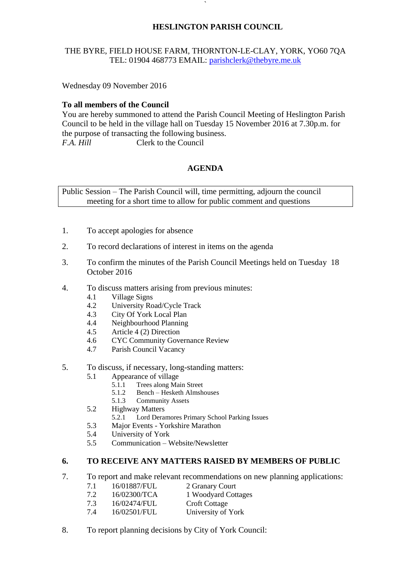# **HESLINGTON PARISH COUNCIL**

# THE BYRE, FIELD HOUSE FARM, THORNTON-LE-CLAY, YORK, YO60 7QA TEL: 01904 468773 EMAIL: [parishclerk@thebyre.me.uk](mailto:parishclerk@thebyre.me.uk)

**`** 

Wednesday 09 November 2016

# **To all members of the Council**

You are hereby summoned to attend the Parish Council Meeting of Heslington Parish Council to be held in the village hall on Tuesday 15 November 2016 at 7.30p.m. for the purpose of transacting the following business. *F.A. Hill* Clerk to the Council

# **AGENDA**

Public Session – The Parish Council will, time permitting, adjourn the council meeting for a short time to allow for public comment and questions

- 1. To accept apologies for absence
- 2. To record declarations of interest in items on the agenda
- 3. To confirm the minutes of the Parish Council Meetings held on Tuesday 18 October 2016
- 4. To discuss matters arising from previous minutes:
	- 4.1 Village Signs
	- 4.2 University Road/Cycle Track
	- 4.3 City Of York Local Plan
	- 4.4 Neighbourhood Planning
	- 4.5 Article 4 (2) Direction
	- 4.6 CYC Community Governance Review
	- 4.7 Parish Council Vacancy
- 5. To discuss, if necessary, long-standing matters:
	- 5.1 Appearance of village
		- 5.1.1 Trees along Main Street
		- 5.1.2 Bench Hesketh Almshouses
		- 5.1.3 Community Assets
	- 5.2 Highway Matters
		- 5.2.1 Lord Deramores Primary School Parking Issues
	- 5.3 Major Events Yorkshire Marathon
	- 5.4 University of York
	- 5.5 Communication Website/Newsletter

#### **6. TO RECEIVE ANY MATTERS RAISED BY MEMBERS OF PUBLIC**

- 7. To report and make relevant recommendations on new planning applications:
	- 7.1 16/01887/FUL 2 Granary Court
	- 7.2 16/02300/TCA 1 Woodyard Cottages
	- 7.3 16/02474/FUL Croft Cottage
	- 7.4 16/02501/FUL University of York
- 8. To report planning decisions by City of York Council: